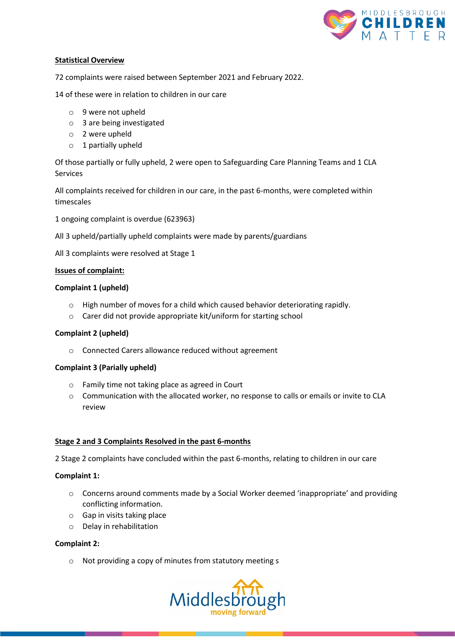

## **Statistical Overview**

72 complaints were raised between September 2021 and February 2022.

14 of these were in relation to children in our care

- o 9 were not upheld
- o 3 are being investigated
- o 2 were upheld
- o 1 partially upheld

Of those partially or fully upheld, 2 were open to Safeguarding Care Planning Teams and 1 CLA Services

All complaints received for children in our care, in the past 6-months, were completed within timescales

1 ongoing complaint is overdue (623963)

All 3 upheld/partially upheld complaints were made by parents/guardians

All 3 complaints were resolved at Stage 1

#### **Issues of complaint:**

# **Complaint 1 (upheld)**

- o High number of moves for a child which caused behavior deteriorating rapidly.
- o Carer did not provide appropriate kit/uniform for starting school

# **Complaint 2 (upheld)**

o Connected Carers allowance reduced without agreement

#### **Complaint 3 (Parially upheld)**

- o Family time not taking place as agreed in Court
- o Communication with the allocated worker, no response to calls or emails or invite to CLA review

#### **Stage 2 and 3 Complaints Resolved in the past 6-months**

2 Stage 2 complaints have concluded within the past 6-months, relating to children in our care

#### **Complaint 1:**

- o Concerns around comments made by a Social Worker deemed 'inappropriate' and providing conflicting information.
- o Gap in visits taking place
- o Delay in rehabilitation

#### **Complaint 2:**

o Not providing a copy of minutes from statutory meeting s